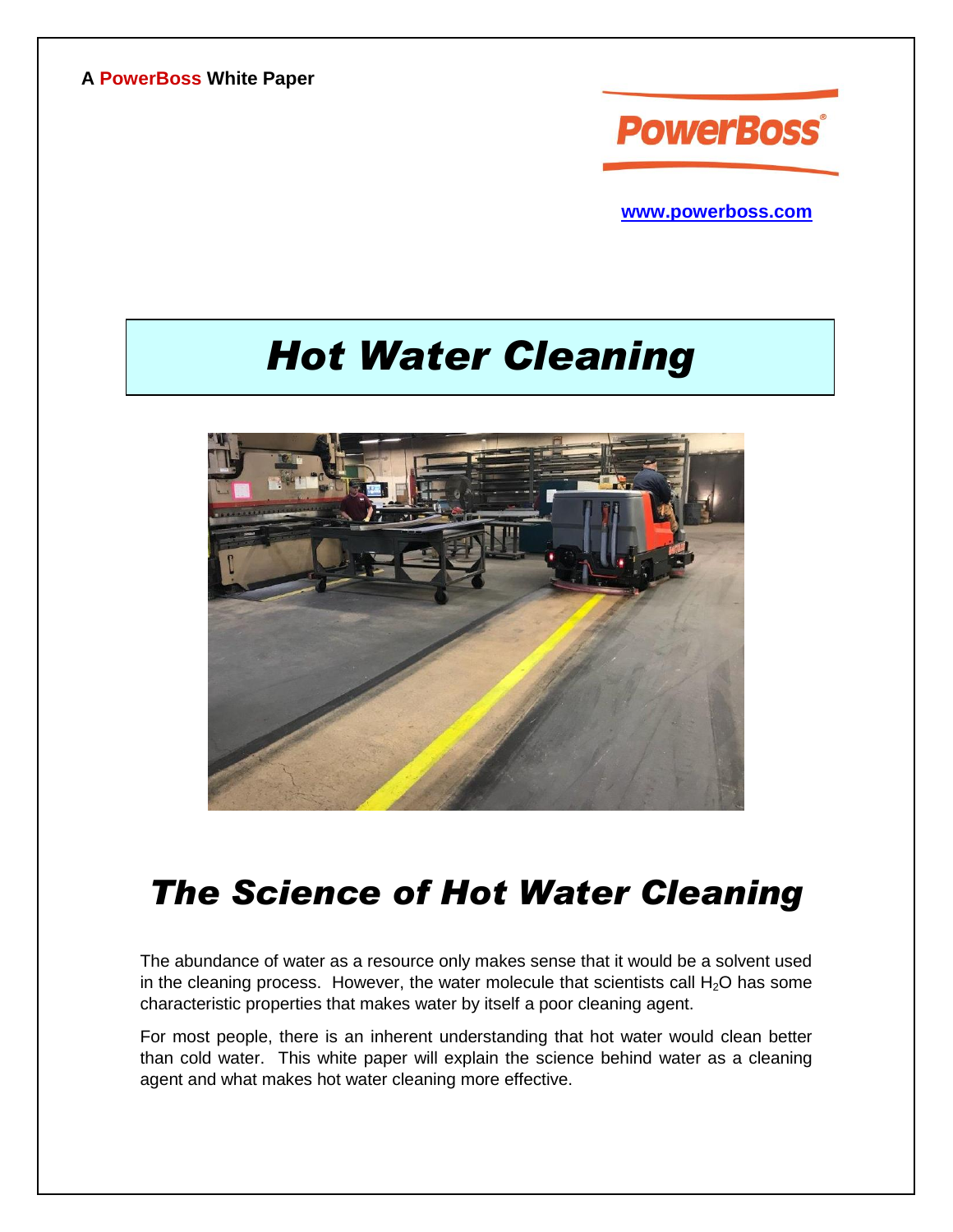**A PowerBoss White Paper**



**[www.powerboss.com](http://www.powerboss.com/)**

# *Hot Water Cleaning*



## *The Science of Hot Water Cleaning*

The abundance of water as a resource only makes sense that it would be a solvent used in the cleaning process. However, the water molecule that scientists call  $H_2O$  has some characteristic properties that makes water by itself a poor cleaning agent.

For most people, there is an inherent understanding that hot water would clean better than cold water. This white paper will explain the science behind water as a cleaning agent and what makes hot water cleaning more effective.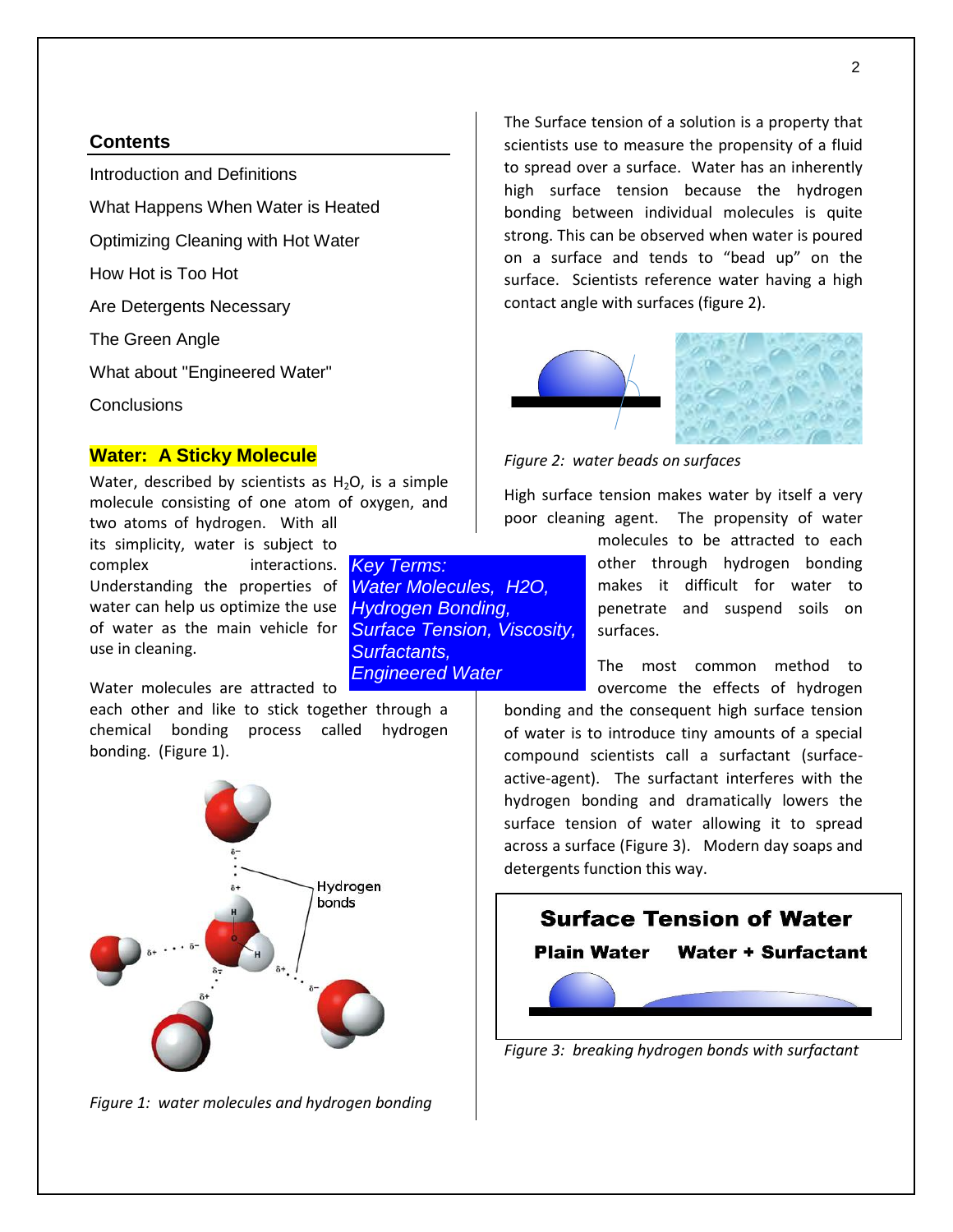#### **Contents**

Introduction and Definitions

What Happens When Water is Heated

Optimizing Cleaning with Hot Water

How Hot is Too Hot

Are Detergents Necessary

The Green Angle

What about "Engineered Water"

**Conclusions** 

### **Water: A Sticky Molecule**

Water, described by scientists as  $H_2O$ , is a simple molecule consisting of one atom of oxygen, and

two atoms of hydrogen. With all its simplicity, water is subject to complex interactions. *Key Terms:*  Understanding the properties of water can help us optimize the use of water as the main vehicle for use in cleaning.

Water molecules are attracted to

each other and like to stick together through a chemical bonding process called hydrogen bonding. (Figure 1).



*Figure 1: water molecules and hydrogen bonding*

The Surface tension of a solution is a property that scientists use to measure the propensity of a fluid to spread over a surface. Water has an inherently high surface tension because the hydrogen bonding between individual molecules is quite strong. This can be observed when water is poured on a surface and tends to "bead up" on the surface. Scientists reference water having a high contact angle with surfaces (figure 2).



*Figure 2: water beads on surfaces*

*Water Molecules, H2O, Hydrogen Bonding,* 

*Surfactants,* 

*Engineered Water*

*Surface Tension, Viscosity,* 

High surface tension makes water by itself a very poor cleaning agent. The propensity of water

> molecules to be attracted to each other through hydrogen bonding makes it difficult for water to penetrate and suspend soils on surfaces.

> The most common method to overcome the effects of hydrogen

bonding and the consequent high surface tension of water is to introduce tiny amounts of a special compound scientists call a surfactant (surfaceactive-agent). The surfactant interferes with the hydrogen bonding and dramatically lowers the surface tension of water allowing it to spread across a surface (Figure 3).Modern day soaps and detergents function this way.



*Figure 3: breaking hydrogen bonds with surfactant*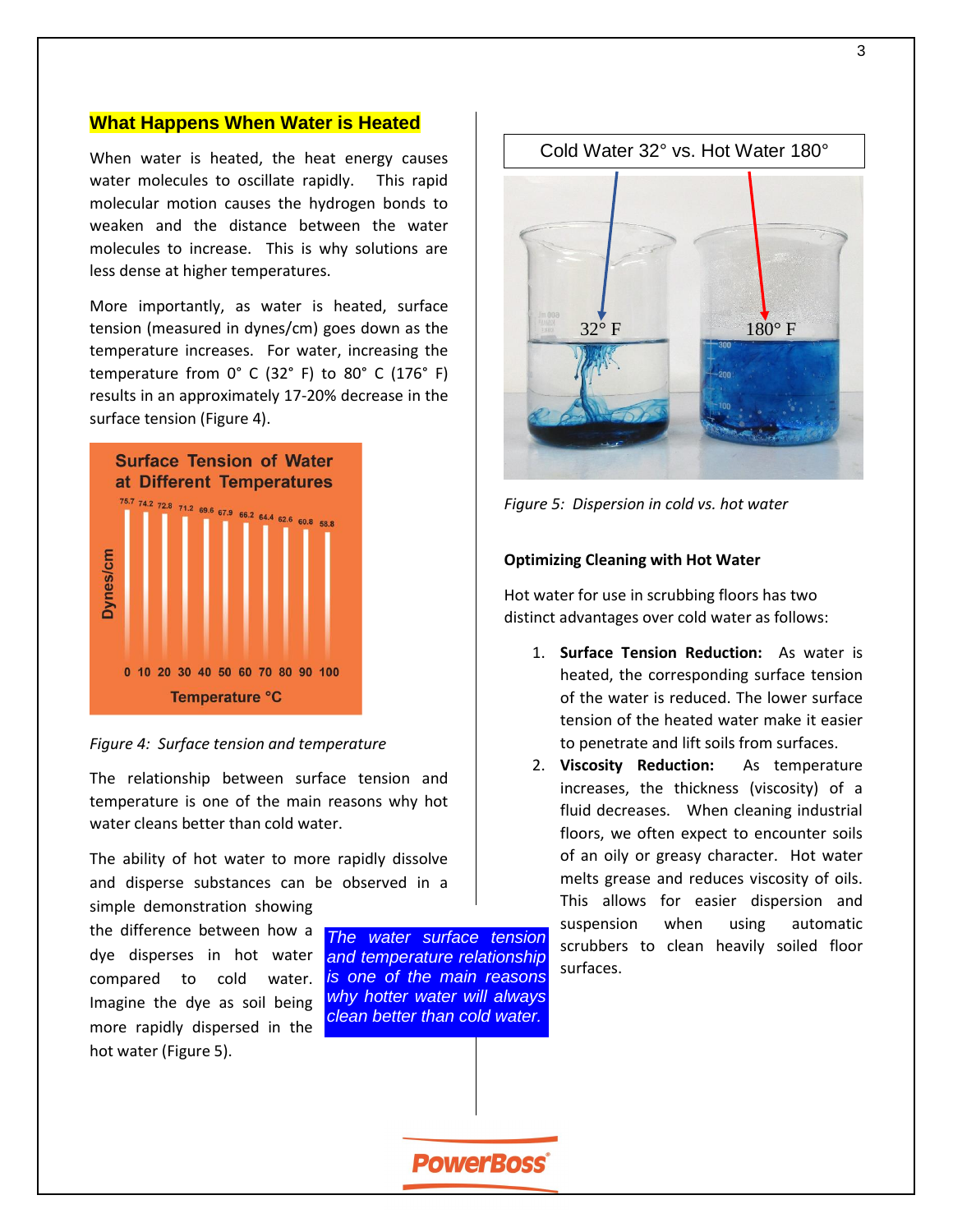#### **What Happens When Water is Heated**

When water is heated, the heat energy causes water molecules to oscillate rapidly. This rapid molecular motion causes the hydrogen bonds to weaken and the distance between the water molecules to increase. This is why solutions are less dense at higher temperatures.

More importantly, as water is heated, surface tension (measured in dynes/cm) goes down as the temperature increases. For water, increasing the temperature from 0° C (32° F) to 80° C (176° F) results in an approximately 17-20% decrease in the surface tension (Figure 4).



*Figure 4: Surface tension and temperature*

The relationship between surface tension and temperature is one of the main reasons why hot water cleans better than cold water.

The ability of hot water to more rapidly dissolve and disperse substances can be observed in a simple demonstration showing

the difference between how a dye disperses in hot water compared to cold water. Imagine the dye as soil being more rapidly dispersed in the hot water (Figure 5).

*The water surface tension and temperature relationship is one of the main reasons why hotter water will always clean better than cold water.* 



*Figure 5: Dispersion in cold vs. hot water*

#### **Optimizing Cleaning with Hot Water**

Hot water for use in scrubbing floors has two distinct advantages over cold water as follows:

- 1. **Surface Tension Reduction:** As water is heated, the corresponding surface tension of the water is reduced. The lower surface tension of the heated water make it easier to penetrate and lift soils from surfaces.
- 2. **Viscosity Reduction:** As temperature increases, the thickness (viscosity) of a fluid decreases. When cleaning industrial floors, we often expect to encounter soils of an oily or greasy character. Hot water melts grease and reduces viscosity of oils. This allows for easier dispersion and suspension when using automatic scrubbers to clean heavily soiled floor surfaces.

**PowerBoss**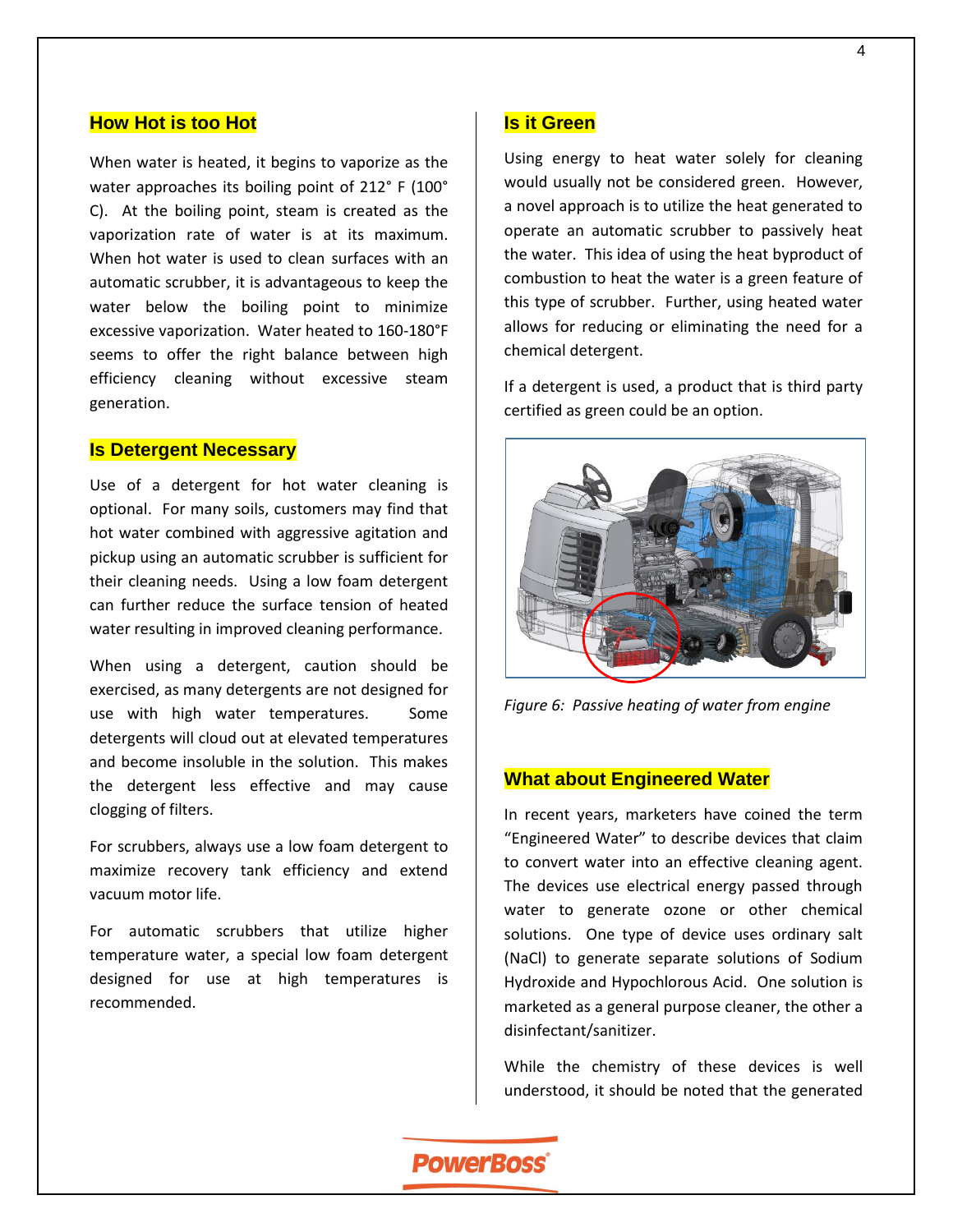#### **How Hot is too Hot**

When water is heated, it begins to vaporize as the water approaches its boiling point of 212° F (100° C). At the boiling point, steam is created as the vaporization rate of water is at its maximum. When hot water is used to clean surfaces with an automatic scrubber, it is advantageous to keep the water below the boiling point to minimize excessive vaporization. Water heated to 160-180°F seems to offer the right balance between high efficiency cleaning without excessive steam generation.

#### **Is Detergent Necessary**

Use of a detergent for hot water cleaning is optional. For many soils, customers may find that hot water combined with aggressive agitation and pickup using an automatic scrubber is sufficient for their cleaning needs. Using a low foam detergent can further reduce the surface tension of heated water resulting in improved cleaning performance.

When using a detergent, caution should be exercised, as many detergents are not designed for use with high water temperatures. Some detergents will cloud out at elevated temperatures and become insoluble in the solution. This makes the detergent less effective and may cause clogging of filters.

For scrubbers, always use a low foam detergent to maximize recovery tank efficiency and extend vacuum motor life.

For automatic scrubbers that utilize higher temperature water, a special low foam detergent designed for use at high temperatures is recommended.

#### **Is it Green**

Using energy to heat water solely for cleaning would usually not be considered green. However, a novel approach is to utilize the heat generated to operate an automatic scrubber to passively heat the water. This idea of using the heat byproduct of combustion to heat the water is a green feature of this type of scrubber. Further, using heated water allows for reducing or eliminating the need for a chemical detergent.

If a detergent is used, a product that is third party certified as green could be an option.



*Figure 6: Passive heating of water from engine*

### **What about Engineered Water**

In recent years, marketers have coined the term "Engineered Water" to describe devices that claim to convert water into an effective cleaning agent. The devices use electrical energy passed through water to generate ozone or other chemical solutions. One type of device uses ordinary salt (NaCl) to generate separate solutions of Sodium Hydroxide and Hypochlorous Acid. One solution is marketed as a general purpose cleaner, the other a disinfectant/sanitizer.

While the chemistry of these devices is well understood, it should be noted that the generated